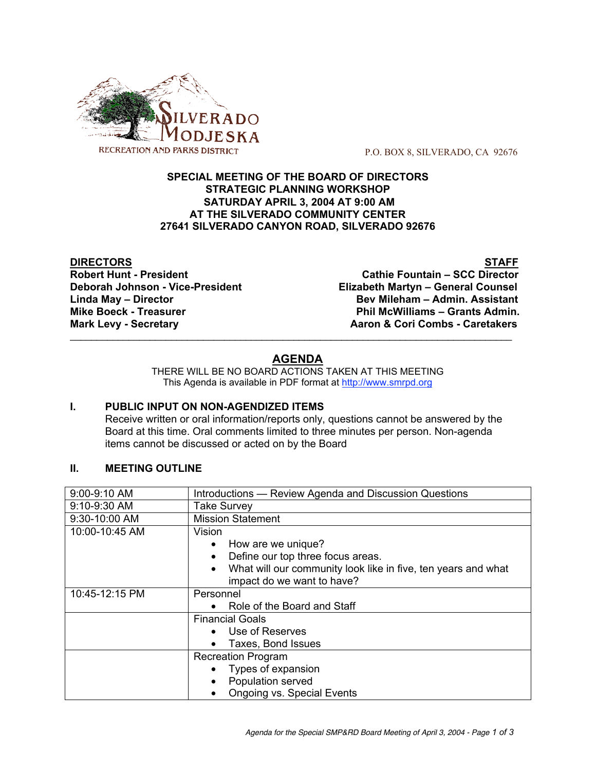

P.O. BOX 8, SILVERADO, CA 92676

#### **SPECIAL MEETING OF THE BOARD OF DIRECTORS STRATEGIC PLANNING WORKSHOP SATURDAY APRIL 3, 2004 AT 9:00 AM AT THE SILVERADO COMMUNITY CENTER 27641 SILVERADO CANYON ROAD, SILVERADO 92676**

**DIRECTORS STAFF**

**Robert Hunt - President Cathie Fountain – SCC Director Deborah Johnson - Vice-President Elizabeth Martyn – General Counsel Linda May – Director Bev Mileham – Admin. Assistant Mike Boeck - Treasurer Phil McWilliams – Grants Admin. Mark Levy - Secretary <b>Aaron & Cori Combs** - Caretakers

# **AGENDA**

 $\mathcal{L}_\text{max}$  , and the set of the set of the set of the set of the set of the set of the set of the set of the set of the set of the set of the set of the set of the set of the set of the set of the set of the set of the

THERE WILL BE NO BOARD ACTIONS TAKEN AT THIS MEETING This Agenda is available in PDF format at http://www.smrpd.org

# **I. PUBLIC INPUT ON NON-AGENDIZED ITEMS**

Receive written or oral information/reports only, questions cannot be answered by the Board at this time. Oral comments limited to three minutes per person. Non-agenda items cannot be discussed or acted on by the Board

# **II. MEETING OUTLINE**

| 9:00-9:10 AM   | Introductions - Review Agenda and Discussion Questions                     |  |  |  |  |  |  |
|----------------|----------------------------------------------------------------------------|--|--|--|--|--|--|
| 9:10-9:30 AM   | <b>Take Survey</b>                                                         |  |  |  |  |  |  |
| 9:30-10:00 AM  | <b>Mission Statement</b>                                                   |  |  |  |  |  |  |
| 10:00-10:45 AM | Vision                                                                     |  |  |  |  |  |  |
|                | How are we unique?<br>$\bullet$                                            |  |  |  |  |  |  |
|                | Define our top three focus areas.<br>$\bullet$                             |  |  |  |  |  |  |
|                | What will our community look like in five, ten years and what<br>$\bullet$ |  |  |  |  |  |  |
|                | impact do we want to have?                                                 |  |  |  |  |  |  |
| 10:45-12:15 PM | Personnel                                                                  |  |  |  |  |  |  |
|                | Role of the Board and Staff<br>$\bullet$                                   |  |  |  |  |  |  |
|                | <b>Financial Goals</b>                                                     |  |  |  |  |  |  |
|                | Use of Reserves                                                            |  |  |  |  |  |  |
|                | Taxes, Bond Issues                                                         |  |  |  |  |  |  |
|                | <b>Recreation Program</b>                                                  |  |  |  |  |  |  |
|                | Types of expansion                                                         |  |  |  |  |  |  |
|                | Population served                                                          |  |  |  |  |  |  |
|                | <b>Ongoing vs. Special Events</b>                                          |  |  |  |  |  |  |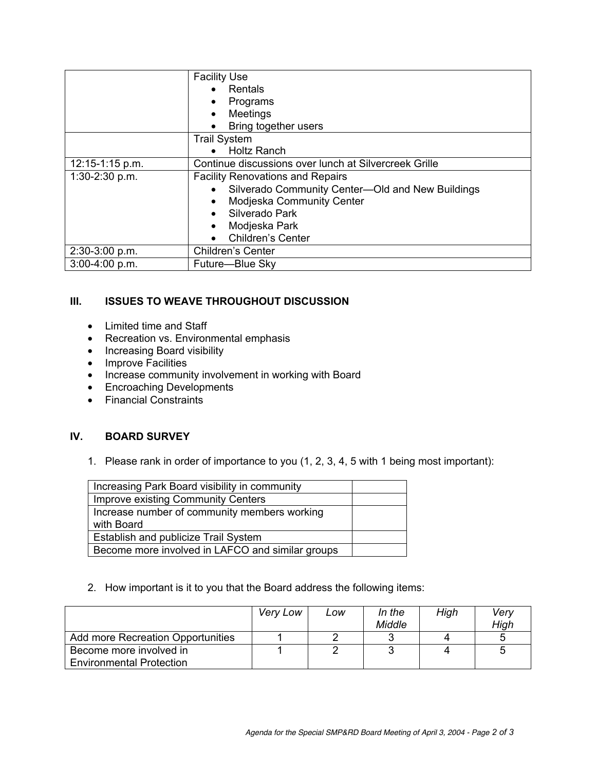|                  | <b>Facility Use</b>                                           |  |  |  |
|------------------|---------------------------------------------------------------|--|--|--|
|                  | Rentals                                                       |  |  |  |
|                  | Programs<br>$\bullet$                                         |  |  |  |
|                  | Meetings<br>$\bullet$                                         |  |  |  |
|                  | Bring together users                                          |  |  |  |
|                  | <b>Trail System</b>                                           |  |  |  |
|                  | <b>Holtz Ranch</b><br>$\bullet$                               |  |  |  |
| 12:15-1:15 p.m.  | Continue discussions over lunch at Silvercreek Grille         |  |  |  |
| 1:30-2:30 p.m.   | <b>Facility Renovations and Repairs</b>                       |  |  |  |
|                  | Silverado Community Center-Old and New Buildings<br>$\bullet$ |  |  |  |
|                  | Modjeska Community Center                                     |  |  |  |
|                  | Silverado Park                                                |  |  |  |
|                  | Modjeska Park<br>$\bullet$                                    |  |  |  |
|                  | Children's Center                                             |  |  |  |
| 2:30-3:00 p.m.   | Children's Center                                             |  |  |  |
| $3:00-4:00 p.m.$ | Future-Blue Sky                                               |  |  |  |

# **III. ISSUES TO WEAVE THROUGHOUT DISCUSSION**

- Limited time and Staff
- Recreation vs. Environmental emphasis
- Increasing Board visibility
- Improve Facilities
- Increase community involvement in working with Board
- Encroaching Developments
- Financial Constraints

# **IV. BOARD SURVEY**

1. Please rank in order of importance to you (1, 2, 3, 4, 5 with 1 being most important):

| Increasing Park Board visibility in community    |  |
|--------------------------------------------------|--|
| <b>Improve existing Community Centers</b>        |  |
| Increase number of community members working     |  |
| with Board                                       |  |
| Establish and publicize Trail System             |  |
| Become more involved in LAFCO and similar groups |  |

# 2. How important is it to you that the Board address the following items:

|                                   | Very Low | Low | In the<br>Middle | High | Verv<br>High |
|-----------------------------------|----------|-----|------------------|------|--------------|
| Add more Recreation Opportunities |          |     |                  |      |              |
| Become more involved in           |          |     |                  |      | 5            |
| <b>Environmental Protection</b>   |          |     |                  |      |              |